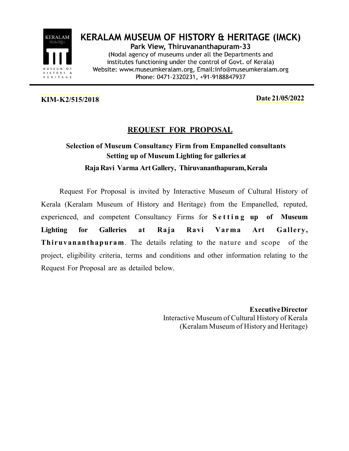

**KERALAM MUSEUM OF HISTORY & HERITAGE (IMCK)** Park View, Thiruvananthapuram-33 (Nodal agency of museums under all the Departments and institutes functioning under the control of Govt. of Kerala) Website: www.museumkeralam.org, Email:info@museumkeralam.org Phone: 0471-2320231, +91-9188847937

# KIM- K2/515/2018 Date 21/05/2022

## REQUEST FOR PROPOSAL

# Selection of Museum Consultancy Firm from Empanelled consultants Setting up of Museum Lighting for galleries at Raja Ravi Varma Art Gallery, Thiruvananthapuram, Kerala

Request For Proposal is invited by Interactive Museum of Cultural History of Kerala (Keralam Museum of History and Heritage) from the Empanelled, reputed, experienced, and competent Consultancy Firms for  $S$ etting up of Museum Lighting for Galleries at Raja Ravi Varma Art Gallery, Thiruvananthapuram. The details relating to the nature and scope of the project, eligibility criteria, terms and conditions and other information relating to the Request For Proposal are as detailed below.

> Executive Director Interactive Museum of Cultural History of Kerala (Keralam Museum of History and Heritage)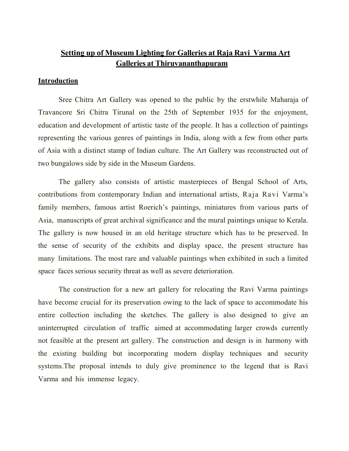## Setting up of Museum Lighting for Galleries at Raja Ravi Varma Art Galleries at Thiruvananthapuram

#### **Introduction**

Sree Chitra Art Gallery was opened to the public by the erstwhile Maharaja of Travancore Sri Chitra Tirunal on the 25th of September 1935 for the enjoyment, education and development of artistic taste of the people. It has a collection of paintings representing the various genres of paintings in India, along with a few from other parts of Asia with a distinct stamp of Indian culture. The Art Gallery was reconstructed out of two bungalows side by side in the Museum Gardens.

The gallery also consists of artistic masterpieces of Bengal School of Arts, contributions from contemporary Indian and international artists, Raja Ravi Varma's family members, famous artist Roerich's paintings, miniatures from various parts of Asia, manuscripts of great archival significance and the mural paintings unique to Kerala. The gallery is now housed in an old heritage structure which has to be preserved. In the sense of security of the exhibits and display space, the present structure has many limitations. The most rare and valuable paintings when exhibited in such a limited space faces serious security threat as well as severe deterioration.

The construction for a new art gallery for relocating the Ravi Varma paintings have become crucial for its preservation owing to the lack of space to accommodate his entire collection including the sketches. The gallery is also designed to give an uninterrupted circulation of traffic aimed at accommodating larger crowds currently not feasible at the present art gallery. The construction and design is in harmony with the existing building but incorporating modern display techniques and security systems.The proposal intends to duly give prominence to the legend that is Ravi Varma and his immense legacy.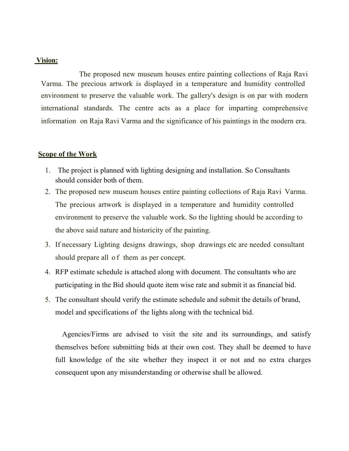#### Vision:

The proposed new museum houses entire painting collections of Raja Ravi Varma. The precious artwork is displayed in a temperature and humidity controlled environment to preserve the valuable work. The gallery's design is on par with modern international standards. The centre acts as a place for imparting comprehensive information on Raja Ravi Varma and the significance of his paintings in the modern era.

#### Scope of the Work

- 1. The project is planned with lighting designing and installation. So Consultants should consider both of them.
- 2. The proposed new museum houses entire painting collections of Raja Ravi Varma. The precious artwork is displayed in a temperature and humidity controlled environment to preserve the valuable work. So the lighting should be according to the above said nature and historicity of the painting.
- 3. If necessary Lighting designs drawings, shop drawings etc are needed consultant should prepare all of them as per concept.
- 4. RFP estimate schedule is attached along with document. The consultants who are participating in the Bid should quote item wise rate and submit it as financial bid.
- 5. The consultant should verify the estimate schedule and submit the details of brand, model and specifications of the lights along with the technical bid.

 Agencies/Firms are advised to visit the site and its surroundings, and satisfy themselves before submitting bids at their own cost. They shall be deemed to have full knowledge of the site whether they inspect it or not and no extra charges consequent upon any misunderstanding or otherwise shall be allowed.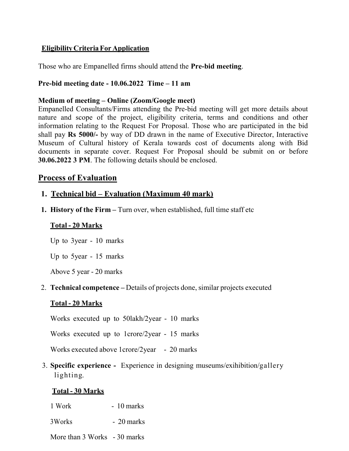## Eligibility Criteria For Application

Those who are Empanelled firms should attend the Pre-bid meeting.

### Pre-bid meeting date - 10.06.2022 Time – 11 am

#### Medium of meeting – Online (Zoom/Google meet)

Empanelled Consultants/Firms attending the Pre-bid meeting will get more details about nature and scope of the project, eligibility criteria, terms and conditions and other information relating to the Request For Proposal. Those who are participated in the bid shall pay Rs 5000/- by way of DD drawn in the name of Executive Director, Interactive Museum of Cultural history of Kerala towards cost of documents along with Bid documents in separate cover. Request For Proposal should be submit on or before 30.06.2022 3 PM. The following details should be enclosed.

## Process of Evaluation

## 1. Technical bid – Evaluation (Maximum 40 mark)

1. History of the Firm – Turn over, when established, full time staff etc

### Total - 20 Marks

Up to 3year - 10 marks

Up to 5year - 15 marks

Above 5 year - 20 marks

#### 2. Technical competence – Details of projects done, similar projects executed

## Total - 20 Marks

Works executed up to 50lakh/2year - 10 marks

Works executed up to 1crore/2year - 15 marks

Works executed above 1crore/2year - 20 marks

3. Specific experience - Experience in designing museums/exihibition/gallery lighting.

## Total - 30 Marks

- 1 Work 10 marks
- 3Works 20 marks

More than 3 Works - 30 marks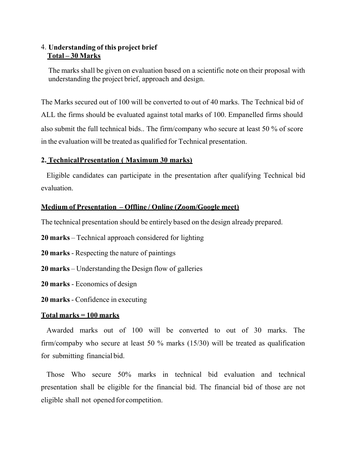## 4. Understanding of this project brief Total – 30 Marks

The marks shall be given on evaluation based on a scientific note on their proposal with understanding the project brief, approach and design.

The Marks secured out of 100 will be converted to out of 40 marks. The Technical bid of ALL the firms should be evaluated against total marks of 100. Empanelled firms should also submit the full technical bids.. The firm/company who secure at least 50 % of score in the evaluation will be treated as qualified for Technical presentation.

### 2. Technical Presentation ( Maximum 30 marks)

Eligible candidates can participate in the presentation after qualifying Technical bid evaluation.

#### Medium of Presentation – Offline / Online (Zoom/Google meet)

The technical presentation should be entirely based on the design already prepared.

- 20 marks Technical approach considered for lighting
- 20 marks Respecting the nature of paintings
- 20 marks Understanding the Design flow of galleries
- 20 marks Economics of design
- 20 marks Confidence in executing

#### Total marks = 100 marks

Awarded marks out of 100 will be converted to out of 30 marks. The firm/compaby who secure at least 50 % marks (15/30) will be treated as qualification for submitting financial bid.

Those Who secure 50% marks in technical bid evaluation and technical presentation shall be eligible for the financial bid. The financial bid of those are not eligible shall not opened for competition.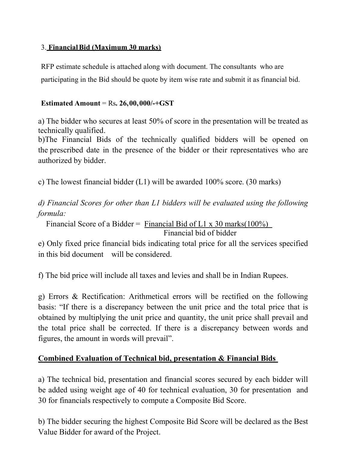## 3. Financial Bid (Maximum 30 marks)

RFP estimate schedule is attached along with document. The consultants who are participating in the Bid should be quote by item wise rate and submit it as financial bid.

## Estimated Amount = Rs.  $26,00,000/+\text{GST}$

a) The bidder who secures at least 50% of score in the presentation will be treated as technically qualified.

b)The Financial Bids of the technically qualified bidders will be opened on the prescribed date in the presence of the bidder or their representatives who are authorized by bidder.

c) The lowest financial bidder (L1) will be awarded 100% score. (30 marks)

d) Financial Scores for other than L1 bidders will be evaluated using the following formula:

Financial Score of a Bidder = Financial Bid of L1 x 30 marks( $100\%$ ) Financial bid of bidder

e) Only fixed price financial bids indicating total price for all the services specified in this bid document will be considered.

f) The bid price will include all taxes and levies and shall be in Indian Rupees.

g) Errors & Rectification: Arithmetical errors will be rectified on the following basis: "If there is a discrepancy between the unit price and the total price that is obtained by multiplying the unit price and quantity, the unit price shall prevail and the total price shall be corrected. If there is a discrepancy between words and figures, the amount in words will prevail".

## Combined Evaluation of Technical bid, presentation & Financial Bids

a) The technical bid, presentation and financial scores secured by each bidder will be added using weight age of 40 for technical evaluation, 30 for presentation and 30 for financials respectively to compute a Composite Bid Score.

b) The bidder securing the highest Composite Bid Score will be declared as the Best Value Bidder for award of the Project.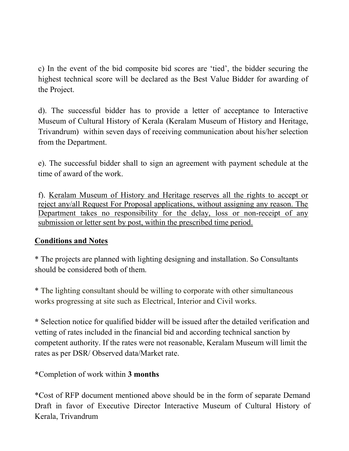c) In the event of the bid composite bid scores are 'tied', the bidder securing the highest technical score will be declared as the Best Value Bidder for awarding of the Project.

d). The successful bidder has to provide a letter of acceptance to Interactive Museum of Cultural History of Kerala (Keralam Museum of History and Heritage, Trivandrum) within seven days of receiving communication about his/her selection from the Department.

e). The successful bidder shall to sign an agreement with payment schedule at the time of award of the work.

f). Keralam Museum of History and Heritage reserves all the rights to accept or reject any/all Request For Proposal applications, without assigning any reason. The Department takes no responsibility for the delay, loss or non-receipt of any submission or letter sent by post, within the prescribed time period.

## Conditions and Notes

\* The projects are planned with lighting designing and installation. So Consultants should be considered both of them.

\* The lighting consultant should be willing to corporate with other simultaneous works progressing at site such as Electrical, Interior and Civil works.

\* Selection notice for qualified bidder will be issued after the detailed verification and vetting of rates included in the financial bid and according technical sanction by competent authority. If the rates were not reasonable, Keralam Museum will limit the rates as per DSR/ Observed data/Market rate.

\*Completion of work within 3 months

\*Cost of RFP document mentioned above should be in the form of separate Demand Draft in favor of Executive Director Interactive Museum of Cultural History of Kerala, Trivandrum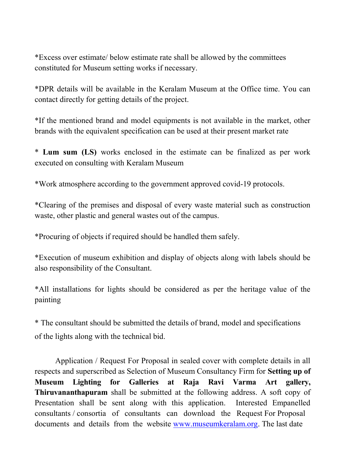\*Excess over estimate/ below estimate rate shall be allowed by the committees constituted for Museum setting works if necessary.

\*DPR details will be available in the Keralam Museum at the Office time. You can contact directly for getting details of the project.

\*If the mentioned brand and model equipments is not available in the market, other brands with the equivalent specification can be used at their present market rate

\* Lum sum (LS) works enclosed in the estimate can be finalized as per work executed on consulting with Keralam Museum

\*Work atmosphere according to the government approved covid-19 protocols.

\*Clearing of the premises and disposal of every waste material such as construction waste, other plastic and general wastes out of the campus.

\*Procuring of objects if required should be handled them safely.

\*Execution of museum exhibition and display of objects along with labels should be also responsibility of the Consultant.

\*All installations for lights should be considered as per the heritage value of the painting

\* The consultant should be submitted the details of brand, model and specifications of the lights along with the technical bid.

Application / Request For Proposal in sealed cover with complete details in all respects and superscribed as Selection of Museum Consultancy Firm for Setting up of Museum Lighting for Galleries at Raja Ravi Varma Art gallery, Thiruvananthapuram shall be submitted at the following address. A soft copy of Presentation shall be sent along with this application. Interested Empanelled consultants / consortia of consultants can download the Request For Proposal documents and details from the website www.museumkeralam.org. The last date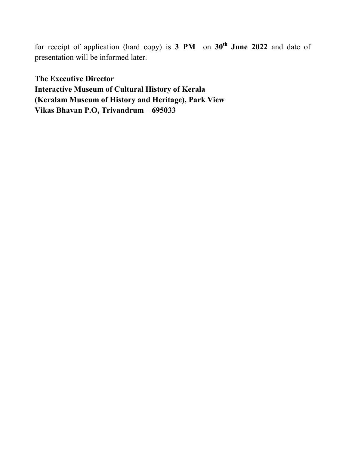for receipt of application (hard copy) is  $3 \text{ PM}$  on  $30^{\text{th}}$  June 2022 and date of presentation will be informed later.

The Executive Director Interactive Museum of Cultural History of Kerala (Keralam Museum of History and Heritage), Park View Vikas Bhavan P.O, Trivandrum – 695033